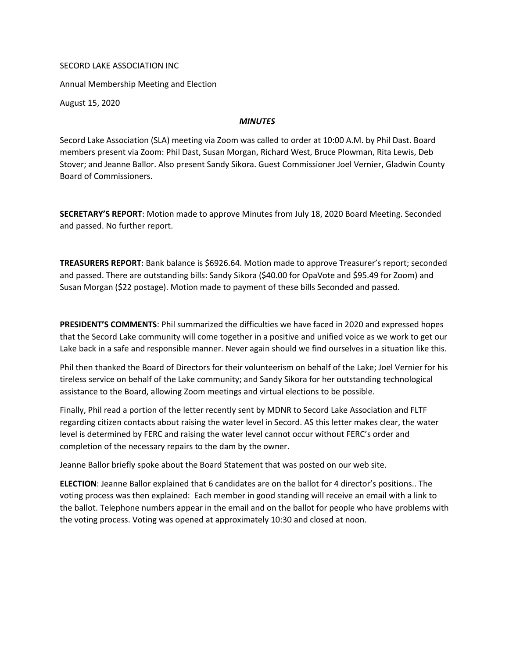## SECORD LAKE ASSOCIATION INC

Annual Membership Meeting and Election

August 15, 2020

## *MINUTES*

Secord Lake Association (SLA) meeting via Zoom was called to order at 10:00 A.M. by Phil Dast. Board members present via Zoom: Phil Dast, Susan Morgan, Richard West, Bruce Plowman, Rita Lewis, Deb Stover; and Jeanne Ballor. Also present Sandy Sikora. Guest Commissioner Joel Vernier, Gladwin County Board of Commissioners.

SECRETARY'S REPORT: Motion made to approve Minutes from July 18, 2020 Board Meeting. Seconded and passed. No further report.

TREASURERS REPORT: Bank balance is \$6926.64. Motion made to approve Treasurer's report; seconded and passed. There are outstanding bills: Sandy Sikora (\$40.00 for OpaVote and \$95.49 for Zoom) and Susan Morgan (\$22 postage). Motion made to payment of these bills Seconded and passed.

PRESIDENT'S COMMENTS: Phil summarized the difficulties we have faced in 2020 and expressed hopes that the Secord Lake community will come together in a positive and unified voice as we work to get our Lake back in a safe and responsible manner. Never again should we find ourselves in a situation like this.

Phil then thanked the Board of Directors for their volunteerism on behalf of the Lake; Joel Vernier for his tireless service on behalf of the Lake community; and Sandy Sikora for her outstanding technological assistance to the Board, allowing Zoom meetings and virtual elections to be possible.

Finally, Phil read a portion of the letter recently sent by MDNR to Secord Lake Association and FLTF regarding citizen contacts about raising the water level in Secord. AS this letter makes clear, the water level is determined by FERC and raising the water level cannot occur without FERC's order and completion of the necessary repairs to the dam by the owner.

Jeanne Ballor briefly spoke about the Board Statement that was posted on our web site.

ELECTION: Jeanne Ballor explained that 6 candidates are on the ballot for 4 director's positions.. The voting process was then explained: Each member in good standing will receive an email with a link to the ballot. Telephone numbers appear in the email and on the ballot for people who have problems with the voting process. Voting was opened at approximately 10:30 and closed at noon.